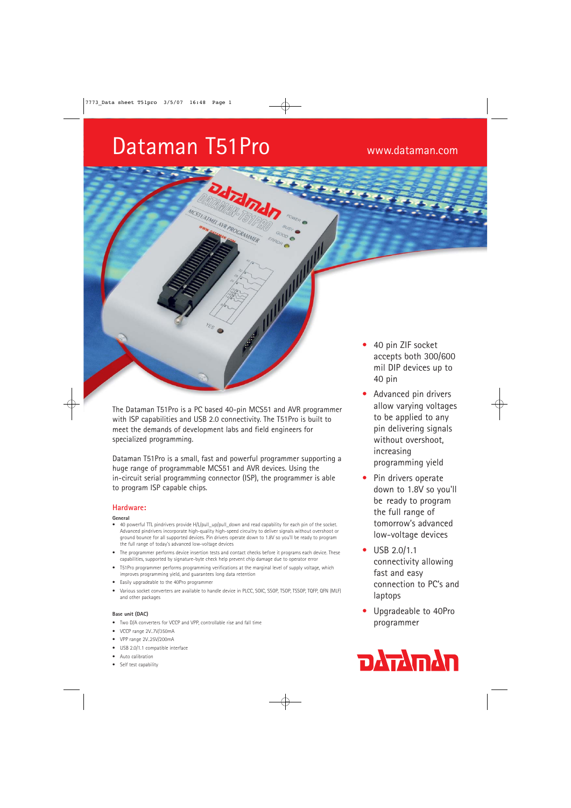# Dataman T51Pro www.dataman.com

The Dataman T51Pro is a PC based 40-pin MCS51 and AVR programmer with ISP capabilities and USB 2.0 connectivity. The T51Pro is built to meet the demands of development labs and field engineers for specialized programming.

drdm

ATMELAVR PROCRAMMER

Dataman T51Pro is a small, fast and powerful programmer supporting a huge range of programmable MCS51 and AVR devices. Using the in-circuit serial programming connector (ISP), the programmer is able to program ISP capable chips.

# **Hardware:**

#### **General**

- 40 powerful TTL pindrivers provide H/L/pull\_up/pull\_down and read capability for each pin of the socket. Advanced pindrivers incorporate high-quality high-speed circuitry to deliver signals without overshoot or ground bounce for all supported devices. Pin drivers operate down to 1.8V so you'll be ready to program the full range of today's advanced low-voltage devices
- The programmer performs device insertion tests and contact checks before it programs each device. These capabilities, supported by signature-byte check help prevent chip damage due to operator error
- T51Pro programmer performs programming verifications at the marginal level of supply voltage, which improves programming yield, and guarantees long data retention
- Easily upgradeable to the 40Pro programmer
- Various socket converters are available to handle device in PLCC, SOIC, SSOP, TSOP, TSSOP, TQFP, QFN (MLF) and other packages

#### **Base unit (DAC)**

- Two D/A converters for VCCP and VPP, controllable rise and fall time
- VCCP range 2V..7V/350mA
- VPP range 2V..25V/200mA
- USB 2.0/1.1 compatible interface
- Auto calibration
- Self test capability
- 40 pin ZIF socket accepts both 300/600 mil DIP devices up to 40 pin
- Advanced pin drivers allow varying voltages to be applied to any pin delivering signals without overshoot, increasing programming yield
- Pin drivers operate down to 1.8V so you'll be ready to program the full range of tomorrow's advanced low-voltage devices
- USB 2.0/1.1 connectivity allowing fast and easy connection to PC's and laptops
- Upgradeable to 40Pro programmer